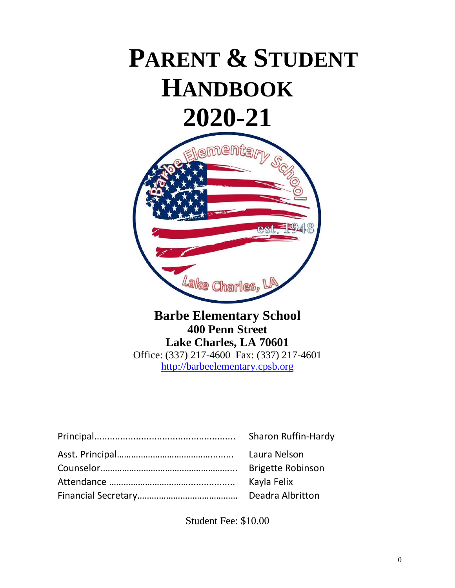# **PARENT & STUDENT HANDBOOK 2020-21**



## **Barbe Elementary School 400 Penn Street Lake Charles, LA 70601** Office: (337) 217-4600 Fax: (337) 217-4601 [http://barbeelementary.cpsb.org](http://barbeelementary.cpsb.org/)

| <b>Sharon Ruffin-Hardy</b> |
|----------------------------|
| Laura Nelson               |
| <b>Brigette Robinson</b>   |
| Kayla Felix                |
| Deadra Albritton           |

Student Fee: \$10.00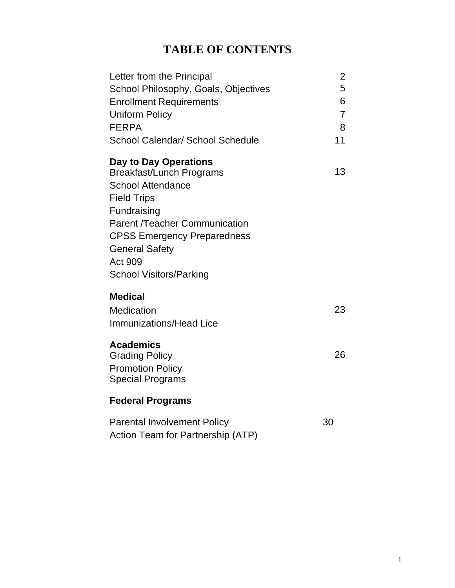## **TABLE OF CONTENTS**

| Letter from the Principal<br>School Philosophy, Goals, Objectives<br><b>Enrollment Requirements</b><br><b>Uniform Policy</b><br><b>FERPA</b><br>School Calendar/ School Schedule                                                                                                     | 2<br>5<br>6<br>$\overline{7}$<br>8<br>11 |
|--------------------------------------------------------------------------------------------------------------------------------------------------------------------------------------------------------------------------------------------------------------------------------------|------------------------------------------|
| Day to Day Operations<br><b>Breakfast/Lunch Programs</b><br><b>School Attendance</b><br><b>Field Trips</b><br>Fundraising<br><b>Parent /Teacher Communication</b><br><b>CPSS Emergency Preparedness</b><br><b>General Safety</b><br><b>Act 909</b><br><b>School Visitors/Parking</b> | 13                                       |
| <b>Medical</b><br>Medication<br><b>Immunizations/Head Lice</b>                                                                                                                                                                                                                       | 23                                       |
| <b>Academics</b><br><b>Grading Policy</b><br><b>Promotion Policy</b><br><b>Special Programs</b>                                                                                                                                                                                      | 26                                       |
| <b>Federal Programs</b>                                                                                                                                                                                                                                                              |                                          |
| <b>Parental Involvement Policy</b><br>Action Team for Partnership (ATP)                                                                                                                                                                                                              | 30                                       |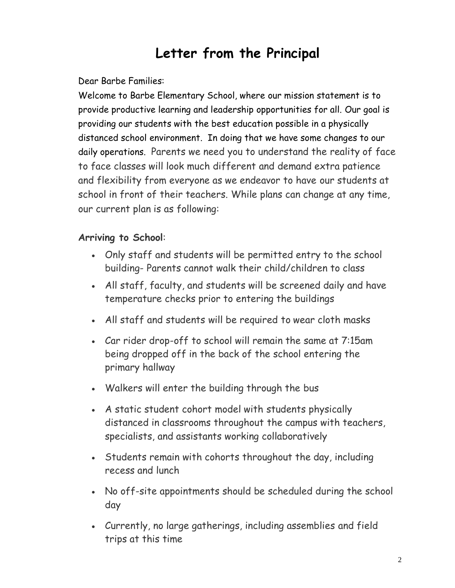# **Letter from the Principal**

Dear Barbe Families:

Welcome to Barbe Elementary School, where our mission statement is to provide productive learning and leadership opportunities for all. Our goal is providing our students with the best education possible in a physically distanced school environment. In doing that we have some changes to our daily operations. Parents we need you to understand the reality of face to face classes will look much different and demand extra patience and flexibility from everyone as we endeavor to have our students at school in front of their teachers. While plans can change at any time, our current plan is as following:

## **Arriving to School**:

- Only staff and students will be permitted entry to the school building- Parents cannot walk their child/children to class
- All staff, faculty, and students will be screened daily and have temperature checks prior to entering the buildings
- All staff and students will be required to wear cloth masks
- Car rider drop-off to school will remain the same at 7:15am being dropped off in the back of the school entering the primary hallway
- Walkers will enter the building through the bus
- A static student cohort model with students physically distanced in classrooms throughout the campus with teachers, specialists, and assistants working collaboratively
- Students remain with cohorts throughout the day, including recess and lunch
- No off-site appointments should be scheduled during the school day
- Currently, no large gatherings, including assemblies and field trips at this time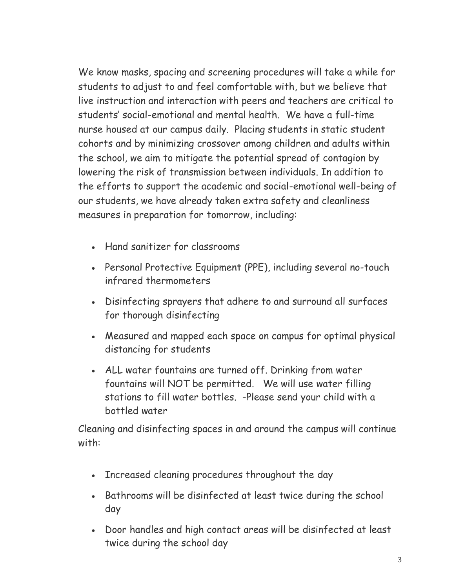We know masks, spacing and screening procedures will take a while for students to adjust to and feel comfortable with, but we believe that live instruction and interaction with peers and teachers are critical to students' social-emotional and mental health. We have a full-time nurse housed at our campus daily. Placing students in static student cohorts and by minimizing crossover among children and adults within the school, we aim to mitigate the potential spread of contagion by lowering the risk of transmission between individuals. In addition to the efforts to support the academic and social-emotional well-being of our students, we have already taken extra safety and cleanliness measures in preparation for tomorrow, including:

- Hand sanitizer for classrooms
- Personal Protective Equipment (PPE), including several no-touch infrared thermometers
- Disinfecting sprayers that adhere to and surround all surfaces for thorough disinfecting
- Measured and mapped each space on campus for optimal physical distancing for students
- ALL water fountains are turned off. Drinking from water fountains will NOT be permitted. We will use water filling stations to fill water bottles. -Please send your child with a bottled water

Cleaning and disinfecting spaces in and around the campus will continue with:

- Increased cleaning procedures throughout the day
- Bathrooms will be disinfected at least twice during the school day
- Door handles and high contact areas will be disinfected at least twice during the school day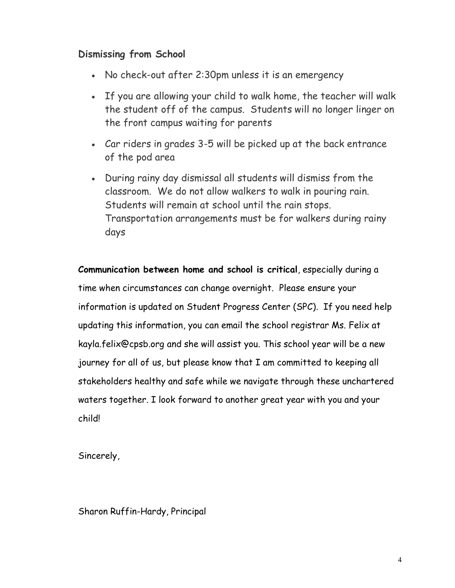## **Dismissing from School**

- No check-out after 2:30pm unless it is an emergency
- If you are allowing your child to walk home, the teacher will walk the student off of the campus. Students will no longer linger on the front campus waiting for parents
- Car riders in grades 3-5 will be picked up at the back entrance of the pod area
- During rainy day dismissal all students will dismiss from the classroom. We do not allow walkers to walk in pouring rain. Students will remain at school until the rain stops. Transportation arrangements must be for walkers during rainy days

**Communication between home and school is critical**, especially during a time when circumstances can change overnight. Please ensure your information is updated on Student Progress Center (SPC). If you need help updating this information, you can email the school registrar Ms. Felix at kayla.felix@cpsb.org and she will assist you. This school year will be a new journey for all of us, but please know that I am committed to keeping all stakeholders healthy and safe while we navigate through these unchartered waters together. I look forward to another great year with you and your child!

Sincerely,

Sharon Ruffin-Hardy, Principal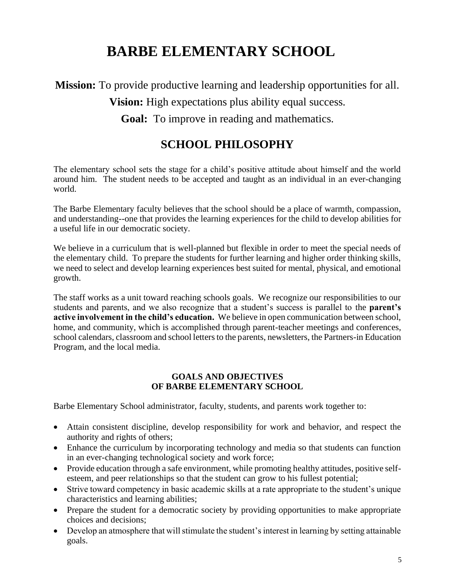# **BARBE ELEMENTARY SCHOOL**

**Mission:** To provide productive learning and leadership opportunities for all.

**Vision:** High expectations plus ability equal success.

**Goal:** To improve in reading and mathematics.

## **SCHOOL PHILOSOPHY**

The elementary school sets the stage for a child's positive attitude about himself and the world around him. The student needs to be accepted and taught as an individual in an ever-changing world.

The Barbe Elementary faculty believes that the school should be a place of warmth, compassion, and understanding--one that provides the learning experiences for the child to develop abilities for a useful life in our democratic society.

We believe in a curriculum that is well-planned but flexible in order to meet the special needs of the elementary child. To prepare the students for further learning and higher order thinking skills, we need to select and develop learning experiences best suited for mental, physical, and emotional growth.

The staff works as a unit toward reaching schools goals. We recognize our responsibilities to our students and parents, and we also recognize that a student's success is parallel to the **parent's active involvement in the child's education.** We believe in open communication between school, home, and community, which is accomplished through parent-teacher meetings and conferences, school calendars, classroom and school letters to the parents, newsletters, the Partners-in Education Program, and the local media.

#### **GOALS AND OBJECTIVES OF BARBE ELEMENTARY SCHOOL**

Barbe Elementary School administrator, faculty, students, and parents work together to:

- Attain consistent discipline, develop responsibility for work and behavior, and respect the authority and rights of others;
- Enhance the curriculum by incorporating technology and media so that students can function in an ever-changing technological society and work force;
- Provide education through a safe environment, while promoting healthy attitudes, positive selfesteem, and peer relationships so that the student can grow to his fullest potential;
- Strive toward competency in basic academic skills at a rate appropriate to the student's unique characteristics and learning abilities;
- Prepare the student for a democratic society by providing opportunities to make appropriate choices and decisions;
- Develop an atmosphere that will stimulate the student's interest in learning by setting attainable goals.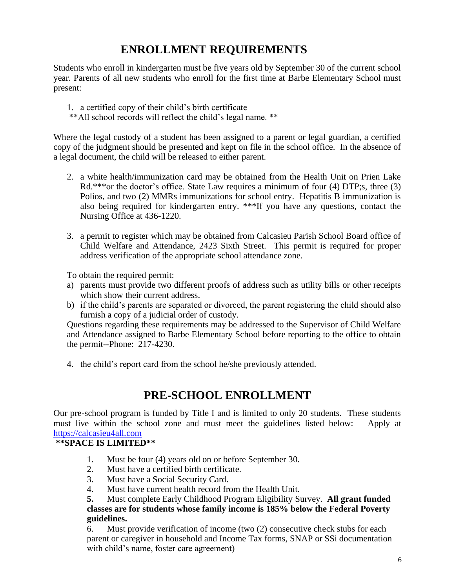## **ENROLLMENT REQUIREMENTS**

Students who enroll in kindergarten must be five years old by September 30 of the current school year. Parents of all new students who enroll for the first time at Barbe Elementary School must present:

- 1. a certified copy of their child's birth certificate
- \*\*All school records will reflect the child's legal name. \*\*

Where the legal custody of a student has been assigned to a parent or legal guardian, a certified copy of the judgment should be presented and kept on file in the school office. In the absence of a legal document, the child will be released to either parent.

- 2. a white health/immunization card may be obtained from the Health Unit on Prien Lake Rd.\*\*\*or the doctor's office. State Law requires a minimum of four (4) DTP;s, three (3) Polios, and two (2) MMRs immunizations for school entry. Hepatitis B immunization is also being required for kindergarten entry. \*\*\*If you have any questions, contact the Nursing Office at 436-1220.
- 3. a permit to register which may be obtained from Calcasieu Parish School Board office of Child Welfare and Attendance, 2423 Sixth Street. This permit is required for proper address verification of the appropriate school attendance zone.

To obtain the required permit:

- a) parents must provide two different proofs of address such as utility bills or other receipts which show their current address.
- b) if the child's parents are separated or divorced, the parent registering the child should also furnish a copy of a judicial order of custody.

Questions regarding these requirements may be addressed to the Supervisor of Child Welfare and Attendance assigned to Barbe Elementary School before reporting to the office to obtain the permit--Phone: 217-4230.

4. the child's report card from the school he/she previously attended.

## **PRE-SCHOOL ENROLLMENT**

Our pre-school program is funded by Title I and is limited to only 20 students. These students must live within the school zone and must meet the guidelines listed below: Apply at [https://calcasieu4all.com](https://calcasieu4all.com/)

#### **\*\*SPACE IS LIMITED\*\***

- 1. Must be four (4) years old on or before September 30.
- 2. Must have a certified birth certificate.
- 3. Must have a Social Security Card.
- 4. Must have current health record from the Health Unit.

**5.** Must complete Early Childhood Program Eligibility Survey. **All grant funded classes are for students whose family income is 185% below the Federal Poverty guidelines.**

6. Must provide verification of income (two (2) consecutive check stubs for each parent or caregiver in household and Income Tax forms, SNAP or SSi documentation with child's name, foster care agreement)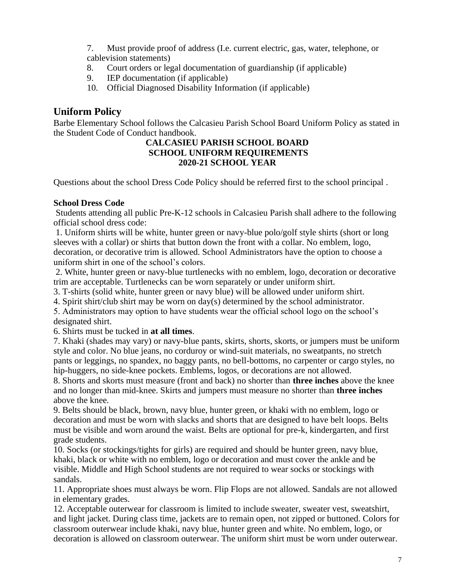7. Must provide proof of address (I.e. current electric, gas, water, telephone, or cablevision statements)

- 8. Court orders or legal documentation of guardianship (if applicable)
- 9. IEP documentation (if applicable)
- 10. Official Diagnosed Disability Information (if applicable)

#### **Uniform Policy**

Barbe Elementary School follows the Calcasieu Parish School Board Uniform Policy as stated in the Student Code of Conduct handbook.

#### **CALCASIEU PARISH SCHOOL BOARD SCHOOL UNIFORM REQUIREMENTS 2020-21 SCHOOL YEAR**

Questions about the school Dress Code Policy should be referred first to the school principal .

#### **School Dress Code**

Students attending all public Pre-K-12 schools in Calcasieu Parish shall adhere to the following official school dress code:

1. Uniform shirts will be white, hunter green or navy-blue polo/golf style shirts (short or long sleeves with a collar) or shirts that button down the front with a collar. No emblem, logo, decoration, or decorative trim is allowed. School Administrators have the option to choose a uniform shirt in one of the school's colors.

2. White, hunter green or navy-blue turtlenecks with no emblem, logo, decoration or decorative trim are acceptable. Turtlenecks can be worn separately or under uniform shirt.

3. T-shirts (solid white, hunter green or navy blue) will be allowed under uniform shirt.

4. Spirit shirt/club shirt may be worn on day(s) determined by the school administrator.

5. Administrators may option to have students wear the official school logo on the school's designated shirt.

6. Shirts must be tucked in **at all times**.

7. Khaki (shades may vary) or navy-blue pants, skirts, shorts, skorts, or jumpers must be uniform style and color. No blue jeans, no corduroy or wind-suit materials, no sweatpants, no stretch pants or leggings, no spandex, no baggy pants, no bell-bottoms, no carpenter or cargo styles, no hip-huggers, no side-knee pockets. Emblems, logos, or decorations are not allowed.

8. Shorts and skorts must measure (front and back) no shorter than **three inches** above the knee and no longer than mid-knee. Skirts and jumpers must measure no shorter than **three inches** above the knee.

9. Belts should be black, brown, navy blue, hunter green, or khaki with no emblem, logo or decoration and must be worn with slacks and shorts that are designed to have belt loops. Belts must be visible and worn around the waist. Belts are optional for pre-k, kindergarten, and first grade students.

10. Socks (or stockings/tights for girls) are required and should be hunter green, navy blue, khaki, black or white with no emblem, logo or decoration and must cover the ankle and be visible. Middle and High School students are not required to wear socks or stockings with sandals.

11. Appropriate shoes must always be worn. Flip Flops are not allowed. Sandals are not allowed in elementary grades.

12. Acceptable outerwear for classroom is limited to include sweater, sweater vest, sweatshirt, and light jacket. During class time, jackets are to remain open, not zipped or buttoned. Colors for classroom outerwear include khaki, navy blue, hunter green and white. No emblem, logo, or decoration is allowed on classroom outerwear. The uniform shirt must be worn under outerwear.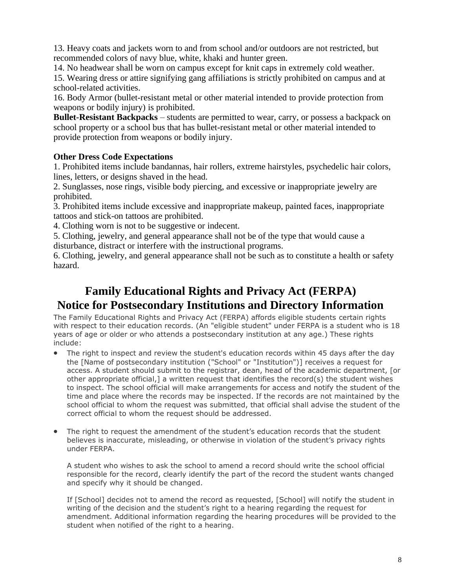13. Heavy coats and jackets worn to and from school and/or outdoors are not restricted, but recommended colors of navy blue, white, khaki and hunter green.

14. No headwear shall be worn on campus except for knit caps in extremely cold weather.

15. Wearing dress or attire signifying gang affiliations is strictly prohibited on campus and at school-related activities.

16. Body Armor (bullet-resistant metal or other material intended to provide protection from weapons or bodily injury) is prohibited.

**Bullet-Resistant Backpacks** – students are permitted to wear, carry, or possess a backpack on school property or a school bus that has bullet-resistant metal or other material intended to provide protection from weapons or bodily injury.

#### **Other Dress Code Expectations**

1. Prohibited items include bandannas, hair rollers, extreme hairstyles, psychedelic hair colors, lines, letters, or designs shaved in the head.

2. Sunglasses, nose rings, visible body piercing, and excessive or inappropriate jewelry are prohibited.

3. Prohibited items include excessive and inappropriate makeup, painted faces, inappropriate tattoos and stick-on tattoos are prohibited.

4. Clothing worn is not to be suggestive or indecent.

5. Clothing, jewelry, and general appearance shall not be of the type that would cause a disturbance, distract or interfere with the instructional programs.

6. Clothing, jewelry, and general appearance shall not be such as to constitute a health or safety hazard.

## **Family Educational Rights and Privacy Act (FERPA) Notice for Postsecondary Institutions and Directory Information**

The Family Educational Rights and Privacy Act (FERPA) affords eligible students certain rights with respect to their education records. (An "eligible student" under FERPA is a student who is 18 years of age or older or who attends a postsecondary institution at any age.) These rights include:

- The right to inspect and review the student's education records within 45 days after the day the [Name of postsecondary institution ("School" or "Institution")] receives a request for access. A student should submit to the registrar, dean, head of the academic department, [or other appropriate official,] a written request that identifies the record(s) the student wishes to inspect. The school official will make arrangements for access and notify the student of the time and place where the records may be inspected. If the records are not maintained by the school official to whom the request was submitted, that official shall advise the student of the correct official to whom the request should be addressed.
- The right to request the amendment of the student's education records that the student believes is inaccurate, misleading, or otherwise in violation of the student's privacy rights under FERPA.

A student who wishes to ask the school to amend a record should write the school official responsible for the record, clearly identify the part of the record the student wants changed and specify why it should be changed.

If [School] decides not to amend the record as requested, [School] will notify the student in writing of the decision and the student's right to a hearing regarding the request for amendment. Additional information regarding the hearing procedures will be provided to the student when notified of the right to a hearing.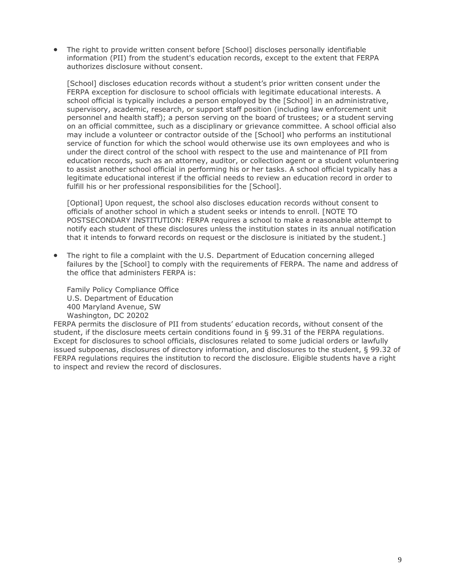• The right to provide written consent before [School] discloses personally identifiable information (PII) from the student's education records, except to the extent that FERPA authorizes disclosure without consent.

[School] discloses education records without a student's prior written consent under the FERPA exception for disclosure to school officials with legitimate educational interests. A school official is typically includes a person employed by the [School] in an administrative, supervisory, academic, research, or support staff position (including law enforcement unit personnel and health staff); a person serving on the board of trustees; or a student serving on an official committee, such as a disciplinary or grievance committee. A school official also may include a volunteer or contractor outside of the [School] who performs an institutional service of function for which the school would otherwise use its own employees and who is under the direct control of the school with respect to the use and maintenance of PII from education records, such as an attorney, auditor, or collection agent or a student volunteering to assist another school official in performing his or her tasks. A school official typically has a legitimate educational interest if the official needs to review an education record in order to fulfill his or her professional responsibilities for the [School].

[Optional] Upon request, the school also discloses education records without consent to officials of another school in which a student seeks or intends to enroll. [NOTE TO POSTSECONDARY INSTITUTION: FERPA requires a school to make a reasonable attempt to notify each student of these disclosures unless the institution states in its annual notification that it intends to forward records on request or the disclosure is initiated by the student.]

• The right to file a complaint with the U.S. Department of Education concerning alleged failures by the [School] to comply with the requirements of FERPA. The name and address of the office that administers FERPA is:

Family Policy Compliance Office U.S. Department of Education 400 Maryland Avenue, SW Washington, DC 20202

FERPA permits the disclosure of PII from students' education records, without consent of the student, if the disclosure meets certain conditions found in § 99.31 of the FERPA regulations. Except for disclosures to school officials, disclosures related to some judicial orders or lawfully issued subpoenas, disclosures of directory information, and disclosures to the student, § 99.32 of FERPA regulations requires the institution to record the disclosure. Eligible students have a right to inspect and review the record of disclosures.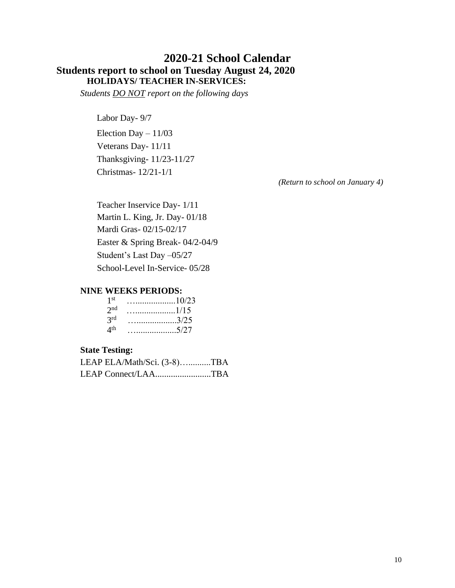#### **2020-21 School Calendar Students report to school on Tuesday August 24, 2020 HOLIDAYS/ TEACHER IN-SERVICES:**

*Students DO NOT report on the following days*

Labor Day- 9/7

Election Day  $-11/03$ Veterans Day- 11/11 Thanksgiving- 11/23-11/27 Christmas- 12/21-1/1

 *(Return to school on January 4)*

Teacher Inservice Day- 1/11 Martin L. King, Jr. Day- 01/18 Mardi Gras- 02/15-02/17 Easter & Spring Break- 04/2-04/9 Student's Last Day –05/27 School-Level In-Service- 05/28

#### **NINE WEEKS PERIODS:**

| 1 st                   | . 10/23 |
|------------------------|---------|
| 2 <sub>nd</sub>        |         |
| 3 <sup>rd</sup>        |         |
| $\Delta$ <sup>th</sup> | 5/27    |

#### **State Testing:**

|  | LEAP ELA/Math/Sci. (3-8)TBA |
|--|-----------------------------|
|  | LEAP Connect/LAATBA         |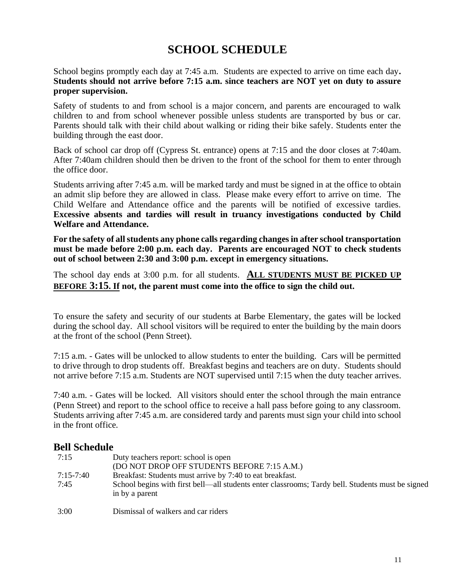## **SCHOOL SCHEDULE**

School begins promptly each day at 7:45 a.m. Students are expected to arrive on time each day**. Students should not arrive before 7:15 a.m. since teachers are NOT yet on duty to assure proper supervision.**

Safety of students to and from school is a major concern, and parents are encouraged to walk children to and from school whenever possible unless students are transported by bus or car. Parents should talk with their child about walking or riding their bike safely. Students enter the building through the east door.

Back of school car drop off (Cypress St. entrance) opens at 7:15 and the door closes at 7:40am. After 7:40am children should then be driven to the front of the school for them to enter through the office door.

Students arriving after 7:45 a.m. will be marked tardy and must be signed in at the office to obtain an admit slip before they are allowed in class. Please make every effort to arrive on time. The Child Welfare and Attendance office and the parents will be notified of excessive tardies. **Excessive absents and tardies will result in truancy investigations conducted by Child Welfare and Attendance.**

**For the safety of all students any phone calls regarding changes in after school transportation must be made before 2:00 p.m. each day. Parents are encouraged NOT to check students out of school between 2:30 and 3:00 p.m. except in emergency situations.**

The school day ends at 3:00 p.m. for all students. **ALL STUDENTS MUST BE PICKED UP BEFORE 3:15. If not, the parent must come into the office to sign the child out.**

To ensure the safety and security of our students at Barbe Elementary, the gates will be locked during the school day. All school visitors will be required to enter the building by the main doors at the front of the school (Penn Street).

7:15 a.m. - Gates will be unlocked to allow students to enter the building. Cars will be permitted to drive through to drop students off. Breakfast begins and teachers are on duty. Students should not arrive before 7:15 a.m. Students are NOT supervised until 7:15 when the duty teacher arrives.

7:40 a.m. - Gates will be locked. All visitors should enter the school through the main entrance (Penn Street) and report to the school office to receive a hall pass before going to any classroom. Students arriving after 7:45 a.m. are considered tardy and parents must sign your child into school in the front office.

#### **Bell Schedule**

| 7:15                | Duty teachers report: school is open<br>(DO NOT DROP OFF STUDENTS BEFORE 7:15 A.M.)                                                                                             |
|---------------------|---------------------------------------------------------------------------------------------------------------------------------------------------------------------------------|
| $7:15-7:40$<br>7:45 | Breakfast: Students must arrive by 7:40 to eat breakfast.<br>School begins with first bell—all students enter classrooms; Tardy bell. Students must be signed<br>in by a parent |
| 3:00                | Dismissal of walkers and car riders                                                                                                                                             |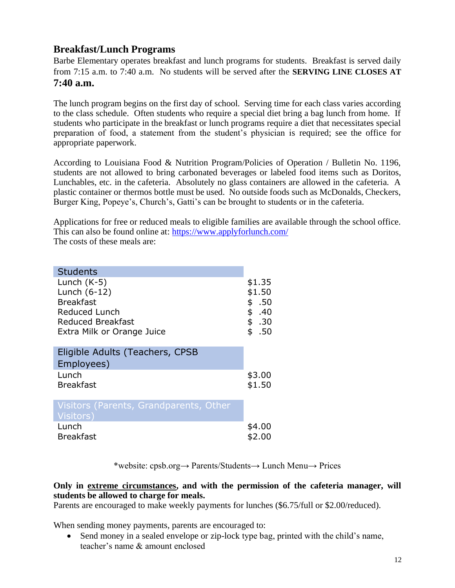#### **Breakfast/Lunch Programs**

Barbe Elementary operates breakfast and lunch programs for students. Breakfast is served daily from 7:15 a.m. to 7:40 a.m. No students will be served after the **SERVING LINE CLOSES AT 7:40 a.m.**

The lunch program begins on the first day of school. Serving time for each class varies according to the class schedule. Often students who require a special diet bring a bag lunch from home. If students who participate in the breakfast or lunch programs require a diet that necessitates special preparation of food, a statement from the student's physician is required; see the office for appropriate paperwork.

According to Louisiana Food & Nutrition Program/Policies of Operation / Bulletin No. 1196, students are not allowed to bring carbonated beverages or labeled food items such as Doritos, Lunchables, etc. in the cafeteria. Absolutely no glass containers are allowed in the cafeteria. A plastic container or thermos bottle must be used. No outside foods such as McDonalds, Checkers, Burger King, Popeye's, Church's, Gatti's can be brought to students or in the cafeteria.

Applications for free or reduced meals to eligible families are available through the school office. This can also be found online at:<https://www.applyforlunch.com/> The costs of these meals are:

| <b>Students</b><br>Lunch $(K-5)$<br>Lunch (6-12)<br><b>Breakfast</b><br>Reduced Lunch<br><b>Reduced Breakfast</b><br>Extra Milk or Orange Juice | \$1.35<br>\$1.50<br>\$.50<br>\$.40<br>\$.30<br>\$.50 |
|-------------------------------------------------------------------------------------------------------------------------------------------------|------------------------------------------------------|
| Eligible Adults (Teachers, CPSB                                                                                                                 |                                                      |
| Employees)                                                                                                                                      |                                                      |
| Lunch                                                                                                                                           | \$3.00                                               |
| <b>Breakfast</b>                                                                                                                                | \$1.50                                               |
| Visitors (Parents, Grandparents, Other                                                                                                          |                                                      |
| Visitors)                                                                                                                                       |                                                      |
| Lunch                                                                                                                                           | \$4.00                                               |
| <b>Breakfast</b>                                                                                                                                | \$2.00                                               |

\*website: cpsb.org→ Parents/Students→ Lunch Menu→ Prices

#### **Only in extreme circumstances, and with the permission of the cafeteria manager, will students be allowed to charge for meals.**

Parents are encouraged to make weekly payments for lunches (\$6.75/full or \$2.00/reduced).

When sending money payments, parents are encouraged to:

• Send money in a sealed envelope or zip-lock type bag, printed with the child's name, teacher's name & amount enclosed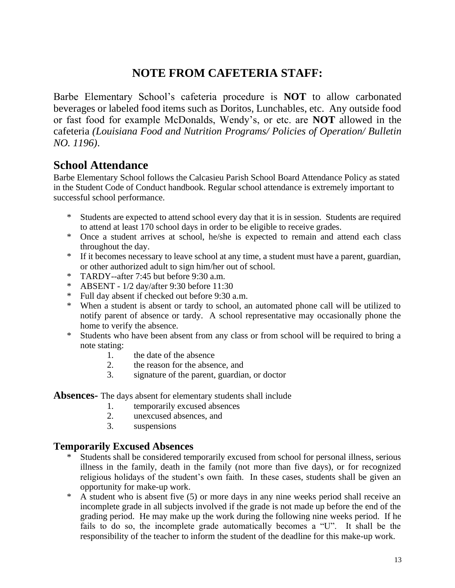## **NOTE FROM CAFETERIA STAFF:**

Barbe Elementary School's cafeteria procedure is **NOT** to allow carbonated beverages or labeled food items such as Doritos, Lunchables, etc. Any outside food or fast food for example McDonalds, Wendy's, or etc. are **NOT** allowed in the cafeteria *(Louisiana Food and Nutrition Programs/ Policies of Operation/ Bulletin NO. 1196)*.

## **School Attendance**

Barbe Elementary School follows the Calcasieu Parish School Board Attendance Policy as stated in the Student Code of Conduct handbook. Regular school attendance is extremely important to successful school performance.

- \* Students are expected to attend school every day that it is in session. Students are required to attend at least 170 school days in order to be eligible to receive grades.
- \* Once a student arrives at school, he/she is expected to remain and attend each class throughout the day.
- \* If it becomes necessary to leave school at any time, a student must have a parent, guardian, or other authorized adult to sign him/her out of school.
- \* TARDY--after 7:45 but before 9:30 a.m.
- \* ABSENT 1/2 day/after 9:30 before 11:30
- \* Full day absent if checked out before 9:30 a.m.
- \* When a student is absent or tardy to school, an automated phone call will be utilized to notify parent of absence or tardy. A school representative may occasionally phone the home to verify the absence.
- \* Students who have been absent from any class or from school will be required to bring a note stating:
	- 1. the date of the absence
	- 2. the reason for the absence, and
	- 3. signature of the parent, guardian, or doctor

**Absences-** The days absent for elementary students shall include

- 1. temporarily excused absences
- 2. unexcused absences, and
- 3. suspensions

#### **Temporarily Excused Absences**

- \* Students shall be considered temporarily excused from school for personal illness, serious illness in the family, death in the family (not more than five days), or for recognized religious holidays of the student's own faith. In these cases, students shall be given an opportunity for make-up work.
- \* A student who is absent five (5) or more days in any nine weeks period shall receive an incomplete grade in all subjects involved if the grade is not made up before the end of the grading period. He may make up the work during the following nine weeks period. If he fails to do so, the incomplete grade automatically becomes a "U". It shall be the responsibility of the teacher to inform the student of the deadline for this make-up work.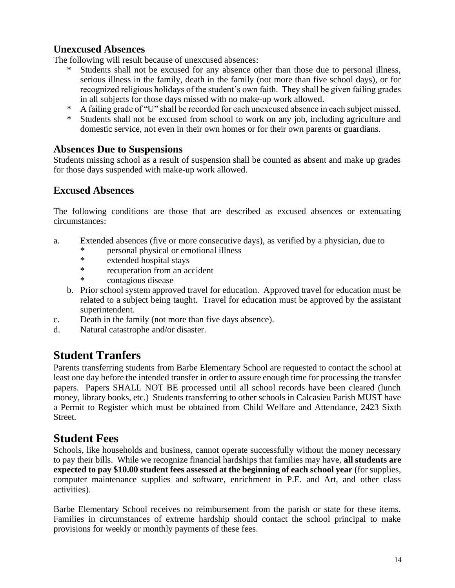#### **Unexcused Absences**

The following will result because of unexcused absences:

- Students shall not be excused for any absence other than those due to personal illness, serious illness in the family, death in the family (not more than five school days), or for recognized religious holidays of the student's own faith. They shall be given failing grades in all subjects for those days missed with no make-up work allowed.
- A failing grade of "U" shall be recorded for each unexcused absence in each subject missed.
- \* Students shall not be excused from school to work on any job, including agriculture and domestic service, not even in their own homes or for their own parents or guardians.

#### **Absences Due to Suspensions**

Students missing school as a result of suspension shall be counted as absent and make up grades for those days suspended with make-up work allowed.

#### **Excused Absences**

The following conditions are those that are described as excused absences or extenuating circumstances:

- a. Extended absences (five or more consecutive days), as verified by a physician, due to
	- \* personal physical or emotional illness<br>\* extended bosnital stave
	- extended hospital stays
	- \* recuperation from an accident
	- contagious disease
	- b. Prior school system approved travel for education. Approved travel for education must be related to a subject being taught. Travel for education must be approved by the assistant superintendent.
- c. Death in the family (not more than five days absence).
- d. Natural catastrophe and/or disaster.

## **Student Tranfers**

Parents transferring students from Barbe Elementary School are requested to contact the school at least one day before the intended transfer in order to assure enough time for processing the transfer papers. Papers SHALL NOT BE processed until all school records have been cleared (lunch money, library books, etc.) Students transferring to other schools in Calcasieu Parish MUST have a Permit to Register which must be obtained from Child Welfare and Attendance, 2423 Sixth Street.

## **Student Fees**

Schools, like households and business, cannot operate successfully without the money necessary to pay their bills. While we recognize financial hardships that families may have, **all students are expected to pay \$10.00 student fees assessed at the beginning of each school year** (for supplies, computer maintenance supplies and software, enrichment in P.E. and Art, and other class activities).

Barbe Elementary School receives no reimbursement from the parish or state for these items. Families in circumstances of extreme hardship should contact the school principal to make provisions for weekly or monthly payments of these fees.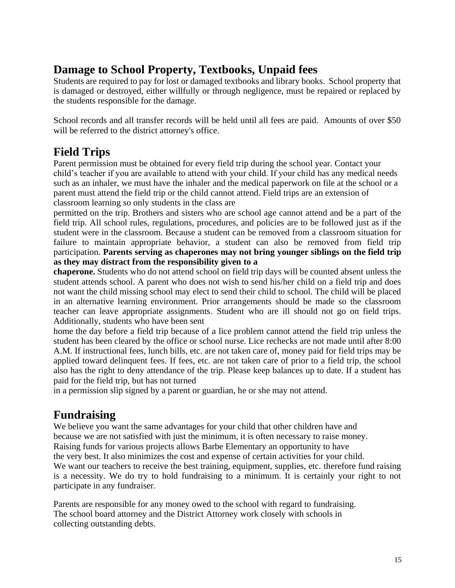## **Damage to School Property, Textbooks, Unpaid fees**

Students are required to pay for lost or damaged textbooks and library books. School property that is damaged or destroyed, either willfully or through negligence, must be repaired or replaced by the students responsible for the damage.

School records and all transfer records will be held until all fees are paid. Amounts of over \$50 will be referred to the district attorney's office.

## **Field Trips**

Parent permission must be obtained for every field trip during the school year. Contact your child's teacher if you are available to attend with your child. If your child has any medical needs such as an inhaler, we must have the inhaler and the medical paperwork on file at the school or a parent must attend the field trip or the child cannot attend. Field trips are an extension of classroom learning so only students in the class are

permitted on the trip. Brothers and sisters who are school age cannot attend and be a part of the field trip. All school rules, regulations, procedures, and policies are to be followed just as if the student were in the classroom. Because a student can be removed from a classroom situation for failure to maintain appropriate behavior, a student can also be removed from field trip participation. **Parents serving as chaperones may not bring younger siblings on the field trip as they may distract from the responsibility given to a**

**chaperone.** Students who do not attend school on field trip days will be counted absent unless the student attends school. A parent who does not wish to send his/her child on a field trip and does not want the child missing school may elect to send their child to school. The child will be placed in an alternative learning environment. Prior arrangements should be made so the classroom teacher can leave appropriate assignments. Student who are ill should not go on field trips. Additionally, students who have been sent

home the day before a field trip because of a lice problem cannot attend the field trip unless the student has been cleared by the office or school nurse. Lice rechecks are not made until after 8:00 A.M. If instructional fees, lunch bills, etc. are not taken care of, money paid for field trips may be applied toward delinquent fees. If fees, etc. are not taken care of prior to a field trip, the school also has the right to deny attendance of the trip. Please keep balances up to date. If a student has paid for the field trip, but has not turned

in a permission slip signed by a parent or guardian, he or she may not attend.

## **Fundraising**

We believe you want the same advantages for your child that other children have and because we are not satisfied with just the minimum, it is often necessary to raise money. Raising funds for various projects allows Barbe Elementary an opportunity to have the very best. It also minimizes the cost and expense of certain activities for your child. We want our teachers to receive the best training, equipment, supplies, etc. therefore fund raising is a necessity. We do try to hold fundraising to a minimum. It is certainly your right to not participate in any fundraiser.

Parents are responsible for any money owed to the school with regard to fundraising. The school board attorney and the District Attorney work closely with schools in collecting outstanding debts.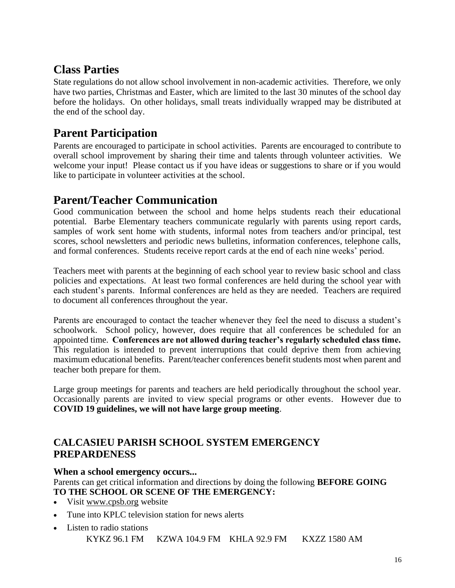## **Class Parties**

State regulations do not allow school involvement in non-academic activities. Therefore, we only have two parties, Christmas and Easter, which are limited to the last 30 minutes of the school day before the holidays. On other holidays, small treats individually wrapped may be distributed at the end of the school day.

## **Parent Participation**

Parents are encouraged to participate in school activities. Parents are encouraged to contribute to overall school improvement by sharing their time and talents through volunteer activities. We welcome your input! Please contact us if you have ideas or suggestions to share or if you would like to participate in volunteer activities at the school.

## **Parent/Teacher Communication**

Good communication between the school and home helps students reach their educational potential. Barbe Elementary teachers communicate regularly with parents using report cards, samples of work sent home with students, informal notes from teachers and/or principal, test scores, school newsletters and periodic news bulletins, information conferences, telephone calls, and formal conferences. Students receive report cards at the end of each nine weeks' period.

Teachers meet with parents at the beginning of each school year to review basic school and class policies and expectations. At least two formal conferences are held during the school year with each student's parents. Informal conferences are held as they are needed. Teachers are required to document all conferences throughout the year.

Parents are encouraged to contact the teacher whenever they feel the need to discuss a student's schoolwork. School policy, however, does require that all conferences be scheduled for an appointed time. **Conferences are not allowed during teacher's regularly scheduled class time.**  This regulation is intended to prevent interruptions that could deprive them from achieving maximum educational benefits. Parent/teacher conferences benefit students most when parent and teacher both prepare for them.

Large group meetings for parents and teachers are held periodically throughout the school year. Occasionally parents are invited to view special programs or other events. However due to **COVID 19 guidelines, we will not have large group meeting**.

#### **CALCASIEU PARISH SCHOOL SYSTEM EMERGENCY PREPARDENESS**

#### **When a school emergency occurs...**

Parents can get critical information and directions by doing the following **BEFORE GOING TO THE SCHOOL OR SCENE OF THE EMERGENCY:**

- Visit [www.cpsb.org](http://www.cpsb.org/) website
- Tune into KPLC television station for news alerts
- Listen to radio stations KYKZ 96.1 FM KZWA 104.9 FM KHLA 92.9 FM KXZZ 1580 AM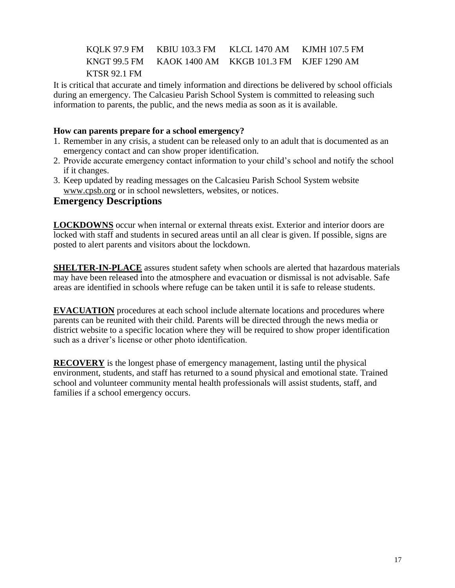KQLK 97.9 FM KBIU 103.3 FM KLCL 1470 AM KJMH 107.5 FM KNGT 99.5 FM KAOK 1400 AM KKGB 101.3 FM KJEF 1290 AM KTSR 92.1 FM

It is critical that accurate and timely information and directions be delivered by school officials during an emergency. The Calcasieu Parish School System is committed to releasing such information to parents, the public, and the news media as soon as it is available.

#### **How can parents prepare for a school emergency?**

- 1. Remember in any crisis, a student can be released only to an adult that is documented as an emergency contact and can show proper identification.
- 2. Provide accurate emergency contact information to your child's school and notify the school if it changes.
- 3. Keep updated by reading messages on the Calcasieu Parish School System website [www.cpsb.org](http://www.cpsb.org/) or in school newsletters, websites, or notices.

#### **Emergency Descriptions**

**LOCKDOWNS** occur when internal or external threats exist. Exterior and interior doors are locked with staff and students in secured areas until an all clear is given. If possible, signs are posted to alert parents and visitors about the lockdown.

**SHELTER-IN-PLACE** assures student safety when schools are alerted that hazardous materials may have been released into the atmosphere and evacuation or dismissal is not advisable. Safe areas are identified in schools where refuge can be taken until it is safe to release students.

**EVACUATION** procedures at each school include alternate locations and procedures where parents can be reunited with their child. Parents will be directed through the news media or district website to a specific location where they will be required to show proper identification such as a driver's license or other photo identification.

**RECOVERY** is the longest phase of emergency management, lasting until the physical environment, students, and staff has returned to a sound physical and emotional state. Trained school and volunteer community mental health professionals will assist students, staff, and families if a school emergency occurs.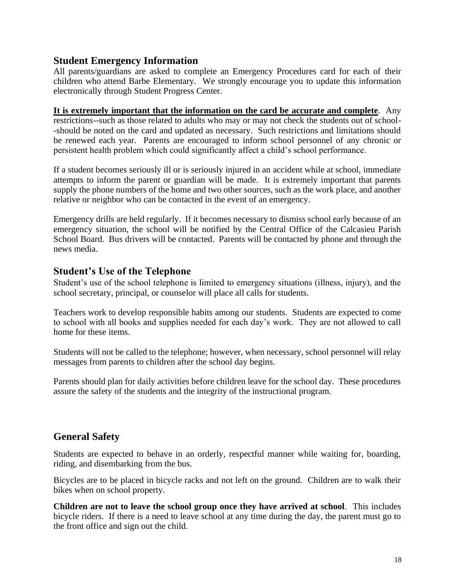#### **Student Emergency Information**

All parents/guardians are asked to complete an Emergency Procedures card for each of their children who attend Barbe Elementary. We strongly encourage you to update this information electronically through Student Progress Center.

**It is extremely important that the information on the card be accurate and complete**. Any restrictions--such as those related to adults who may or may not check the students out of school- -should be noted on the card and updated as necessary. Such restrictions and limitations should be renewed each year. Parents are encouraged to inform school personnel of any chronic or persistent health problem which could significantly affect a child's school performance.

If a student becomes seriously ill or is seriously injured in an accident while at school, immediate attempts to inform the parent or guardian will be made. It is extremely important that parents supply the phone numbers of the home and two other sources, such as the work place, and another relative or neighbor who can be contacted in the event of an emergency.

Emergency drills are held regularly. If it becomes necessary to dismiss school early because of an emergency situation, the school will be notified by the Central Office of the Calcasieu Parish School Board. Bus drivers will be contacted. Parents will be contacted by phone and through the news media.

#### **Student's Use of the Telephone**

Student's use of the school telephone is limited to emergency situations (illness, injury), and the school secretary, principal, or counselor will place all calls for students.

Teachers work to develop responsible habits among our students. Students are expected to come to school with all books and supplies needed for each day's work. They are not allowed to call home for these items.

Students will not be called to the telephone; however, when necessary, school personnel will relay messages from parents to children after the school day begins.

Parents should plan for daily activities before children leave for the school day. These procedures assure the safety of the students and the integrity of the instructional program.

## **General Safety**

Students are expected to behave in an orderly, respectful manner while waiting for, boarding, riding, and disembarking from the bus.

Bicycles are to be placed in bicycle racks and not left on the ground. Children are to walk their bikes when on school property.

**Children are not to leave the school group once they have arrived at school**. This includes bicycle riders. If there is a need to leave school at any time during the day, the parent must go to the front office and sign out the child.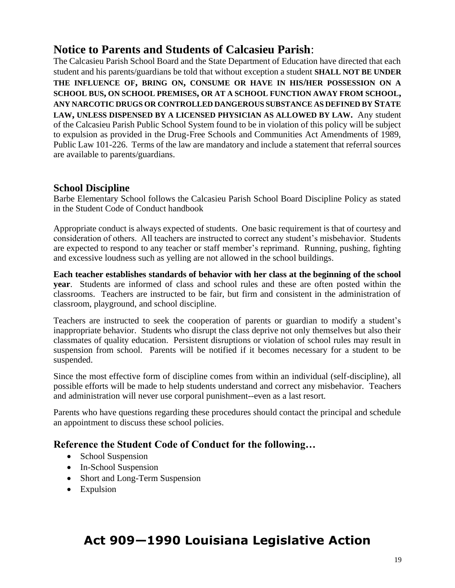## **Notice to Parents and Students of Calcasieu Parish**:

The Calcasieu Parish School Board and the State Department of Education have directed that each student and his parents/guardians be told that without exception a student **SHALL NOT BE UNDER THE INFLUENCE OF, BRING ON, CONSUME OR HAVE IN HIS/HER POSSESSION ON A SCHOOL BUS, ON SCHOOL PREMISES, OR AT A SCHOOL FUNCTION AWAY FROM SCHOOL, ANY NARCOTIC DRUGS OR CONTROLLED DANGEROUS SUBSTANCE AS DEFINED BY STATE LAW, UNLESS DISPENSED BY A LICENSED PHYSICIAN AS ALLOWED BY LAW.** Any student of the Calcasieu Parish Public School System found to be in violation of this policy will be subject to expulsion as provided in the Drug-Free Schools and Communities Act Amendments of 1989, Public Law 101-226. Terms of the law are mandatory and include a statement that referral sources are available to parents/guardians.

#### **School Discipline**

Barbe Elementary School follows the Calcasieu Parish School Board Discipline Policy as stated in the Student Code of Conduct handbook

Appropriate conduct is always expected of students. One basic requirement is that of courtesy and consideration of others. All teachers are instructed to correct any student's misbehavior. Students are expected to respond to any teacher or staff member's reprimand. Running, pushing, fighting and excessive loudness such as yelling are not allowed in the school buildings.

**Each teacher establishes standards of behavior with her class at the beginning of the school year**. Students are informed of class and school rules and these are often posted within the classrooms. Teachers are instructed to be fair, but firm and consistent in the administration of classroom, playground, and school discipline.

Teachers are instructed to seek the cooperation of parents or guardian to modify a student's inappropriate behavior. Students who disrupt the class deprive not only themselves but also their classmates of quality education. Persistent disruptions or violation of school rules may result in suspension from school. Parents will be notified if it becomes necessary for a student to be suspended.

Since the most effective form of discipline comes from within an individual (self-discipline), all possible efforts will be made to help students understand and correct any misbehavior. Teachers and administration will never use corporal punishment--even as a last resort.

Parents who have questions regarding these procedures should contact the principal and schedule an appointment to discuss these school policies.

#### **Reference the Student Code of Conduct for the following…**

- School Suspension
- In-School Suspension
- Short and Long-Term Suspension
- Expulsion

## **Act 909—1990 Louisiana Legislative Action**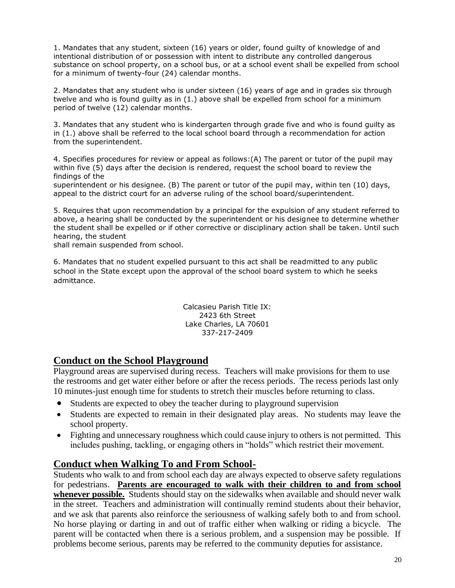1. Mandates that any student, sixteen (16) years or older, found guilty of knowledge of and intentional distribution of or possession with intent to distribute any controlled dangerous substance on school property, on a school bus, or at a school event shall be expelled from school for a minimum of twenty-four (24) calendar months.

2. Mandates that any student who is under sixteen (16) years of age and in grades six through twelve and who is found guilty as in (1.) above shall be expelled from school for a minimum period of twelve (12) calendar months.

3. Mandates that any student who is kindergarten through grade five and who is found guilty as in (1.) above shall be referred to the local school board through a recommendation for action from the superintendent.

4. Specifies procedures for review or appeal as follows:(A) The parent or tutor of the pupil may within five (5) days after the decision is rendered, request the school board to review the findings of the

superintendent or his designee. (B) The parent or tutor of the pupil may, within ten (10) days, appeal to the district court for an adverse ruling of the school board/superintendent.

5. Requires that upon recommendation by a principal for the expulsion of any student referred to above, a hearing shall be conducted by the superintendent or his designee to determine whether the student shall be expelled or if other corrective or disciplinary action shall be taken. Until such hearing, the student

shall remain suspended from school.

6. Mandates that no student expelled pursuant to this act shall be readmitted to any public school in the State except upon the approval of the school board system to which he seeks admittance.

> Calcasieu Parish Title IX: 2423 6th Street Lake Charles, LA 70601 337-217-2409

#### **Conduct on the School Playground**

Playground areas are supervised during recess. Teachers will make provisions for them to use the restrooms and get water either before or after the recess periods. The recess periods last only 10 minutes-just enough time for students to stretch their muscles before returning to class.

- Students are expected to obey the teacher during to playground supervision
- Students are expected to remain in their designated play areas. No students may leave the school property.
- Fighting and unnecessary roughness which could cause injury to others is not permitted. This includes pushing, tackling, or engaging others in "holds" which restrict their movement.

#### **Conduct when Walking To and From School-**

Students who walk to and from school each day are always expected to observe safety regulations for pedestrians. **Parents are encouraged to walk with their children to and from school whenever possible.** Students should stay on the sidewalks when available and should never walk in the street. Teachers and administration will continually remind students about their behavior, and we ask that parents also reinforce the seriousness of walking safely both to and from school. No horse playing or darting in and out of traffic either when walking or riding a bicycle. The parent will be contacted when there is a serious problem, and a suspension may be possible. If problems become serious, parents may be referred to the community deputies for assistance.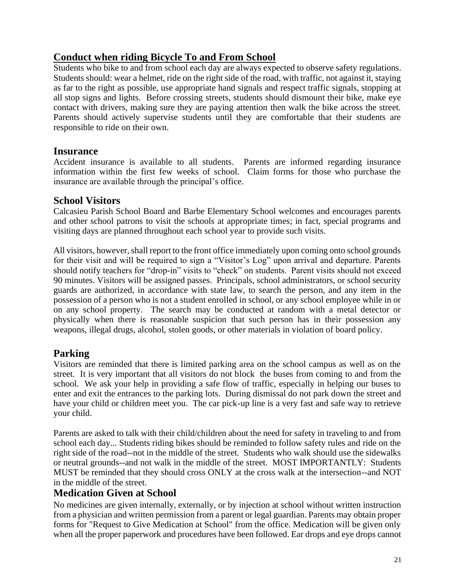#### **Conduct when riding Bicycle To and From School**

Students who bike to and from school each day are always expected to observe safety regulations. Students should: wear a helmet, ride on the right side of the road, with traffic, not against it, staying as far to the right as possible, use appropriate hand signals and respect traffic signals, stopping at all stop signs and lights. Before crossing streets, students should dismount their bike, make eye contact with drivers, making sure they are paying attention then walk the bike across the street. Parents should actively supervise students until they are comfortable that their students are responsible to ride on their own.

#### **Insurance**

Accident insurance is available to all students. Parents are informed regarding insurance information within the first few weeks of school. Claim forms for those who purchase the insurance are available through the principal's office.

#### **School Visitors**

Calcasieu Parish School Board and Barbe Elementary School welcomes and encourages parents and other school patrons to visit the schools at appropriate times; in fact, special programs and visiting days are planned throughout each school year to provide such visits.

All visitors, however, shall report to the front office immediately upon coming onto school grounds for their visit and will be required to sign a "Visitor's Log" upon arrival and departure. Parents should notify teachers for "drop-in" visits to "check" on students. Parent visits should not exceed 90 minutes. Visitors will be assigned passes. Principals, school administrators, or school security guards are authorized, in accordance with state law, to search the person, and any item in the possession of a person who is not a student enrolled in school, or any school employee while in or on any school property. The search may be conducted at random with a metal detector or physically when there is reasonable suspicion that such person has in their possession any weapons, illegal drugs, alcohol, stolen goods, or other materials in violation of board policy.

#### **Parking**

Visitors are reminded that there is limited parking area on the school campus as well as on the street. It is very important that all visitors do not block the buses from coming to and from the school. We ask your help in providing a safe flow of traffic, especially in helping our buses to enter and exit the entrances to the parking lots. During dismissal do not park down the street and have your child or children meet you. The car pick-up line is a very fast and safe way to retrieve your child.

Parents are asked to talk with their child/children about the need for safety in traveling to and from school each day... Students riding bikes should be reminded to follow safety rules and ride on the right side of the road--not in the middle of the street. Students who walk should use the sidewalks or neutral grounds--and not walk in the middle of the street. MOST IMPORTANTLY: Students MUST be reminded that they should cross ONLY at the cross walk at the intersection--and NOT in the middle of the street.

#### **Medication Given at School**

No medicines are given internally, externally, or by injection at school without written instruction from a physician and written permission from a parent or legal guardian. Parents may obtain proper forms for "Request to Give Medication at School" from the office. Medication will be given only when all the proper paperwork and procedures have been followed. Ear drops and eye drops cannot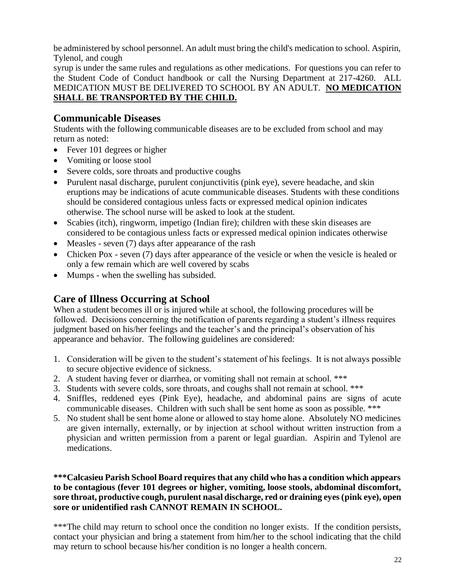be administered by school personnel. An adult must bring the child's medication to school. Aspirin, Tylenol, and cough

syrup is under the same rules and regulations as other medications. For questions you can refer to the Student Code of Conduct handbook or call the Nursing Department at 217-4260. ALL MEDICATION MUST BE DELIVERED TO SCHOOL BY AN ADULT. **NO MEDICATION SHALL BE TRANSPORTED BY THE CHILD.**

#### **Communicable Diseases**

Students with the following communicable diseases are to be excluded from school and may return as noted:

- Fever 101 degrees or higher
- Vomiting or loose stool
- Severe colds, sore throats and productive coughs
- Purulent nasal discharge, purulent conjunctivitis (pink eye), severe headache, and skin eruptions may be indications of acute communicable diseases. Students with these conditions should be considered contagious unless facts or expressed medical opinion indicates otherwise. The school nurse will be asked to look at the student.
- Scabies (itch), ringworm, impetigo (Indian fire); children with these skin diseases are considered to be contagious unless facts or expressed medical opinion indicates otherwise
- Measles seven (7) days after appearance of the rash
- Chicken Pox seven (7) days after appearance of the vesicle or when the vesicle is healed or only a few remain which are well covered by scabs
- Mumps when the swelling has subsided.

#### **Care of Illness Occurring at School**

When a student becomes ill or is injured while at school, the following procedures will be followed. Decisions concerning the notification of parents regarding a student's illness requires judgment based on his/her feelings and the teacher's and the principal's observation of his appearance and behavior. The following guidelines are considered:

- 1. Consideration will be given to the student's statement of his feelings. It is not always possible to secure objective evidence of sickness.
- 2. A student having fever or diarrhea, or vomiting shall not remain at school. \*\*\*
- 3. Students with severe colds, sore throats, and coughs shall not remain at school. \*\*\*
- 4. Sniffles, reddened eyes (Pink Eye), headache, and abdominal pains are signs of acute communicable diseases. Children with such shall be sent home as soon as possible. \*\*\*
- 5. No student shall be sent home alone or allowed to stay home alone. Absolutely NO medicines are given internally, externally, or by injection at school without written instruction from a physician and written permission from a parent or legal guardian. Aspirin and Tylenol are medications.

#### **\*\*\*Calcasieu Parish School Board requires that any child who has a condition which appears to be contagious (fever 101 degrees or higher, vomiting, loose stools, abdominal discomfort, sore throat, productive cough, purulent nasal discharge, red or draining eyes (pink eye), open sore or unidentified rash CANNOT REMAIN IN SCHOOL.**

\*\*\*The child may return to school once the condition no longer exists. If the condition persists, contact your physician and bring a statement from him/her to the school indicating that the child may return to school because his/her condition is no longer a health concern.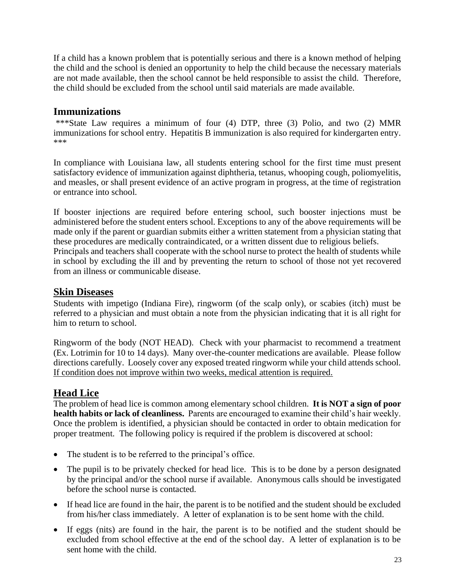If a child has a known problem that is potentially serious and there is a known method of helping the child and the school is denied an opportunity to help the child because the necessary materials are not made available, then the school cannot be held responsible to assist the child. Therefore, the child should be excluded from the school until said materials are made available.

#### **Immunizations**

\*\*\*State Law requires a minimum of four (4) DTP, three (3) Polio, and two (2) MMR immunizations for school entry. Hepatitis B immunization is also required for kindergarten entry. \*\*\*

In compliance with Louisiana law, all students entering school for the first time must present satisfactory evidence of immunization against diphtheria, tetanus, whooping cough, poliomyelitis, and measles, or shall present evidence of an active program in progress, at the time of registration or entrance into school.

If booster injections are required before entering school, such booster injections must be administered before the student enters school. Exceptions to any of the above requirements will be made only if the parent or guardian submits either a written statement from a physician stating that these procedures are medically contraindicated, or a written dissent due to religious beliefs. Principals and teachers shall cooperate with the school nurse to protect the health of students while

in school by excluding the ill and by preventing the return to school of those not yet recovered from an illness or communicable disease.

#### **Skin Diseases**

Students with impetigo (Indiana Fire), ringworm (of the scalp only), or scabies (itch) must be referred to a physician and must obtain a note from the physician indicating that it is all right for him to return to school.

Ringworm of the body (NOT HEAD). Check with your pharmacist to recommend a treatment (Ex. Lotrimin for 10 to 14 days). Many over-the-counter medications are available. Please follow directions carefully. Loosely cover any exposed treated ringworm while your child attends school. If condition does not improve within two weeks, medical attention is required.

#### **Head Lice**

The problem of head lice is common among elementary school children. **It is NOT a sign of poor health habits or lack of cleanliness.** Parents are encouraged to examine their child's hair weekly. Once the problem is identified, a physician should be contacted in order to obtain medication for proper treatment. The following policy is required if the problem is discovered at school:

- The student is to be referred to the principal's office.
- The pupil is to be privately checked for head lice. This is to be done by a person designated by the principal and/or the school nurse if available. Anonymous calls should be investigated before the school nurse is contacted.
- If head lice are found in the hair, the parent is to be notified and the student should be excluded from his/her class immediately. A letter of explanation is to be sent home with the child.
- If eggs (nits) are found in the hair, the parent is to be notified and the student should be excluded from school effective at the end of the school day. A letter of explanation is to be sent home with the child.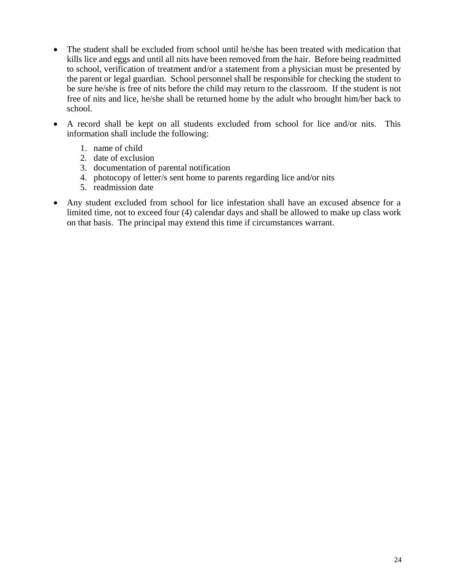- The student shall be excluded from school until he/she has been treated with medication that kills lice and eggs and until all nits have been removed from the hair. Before being readmitted to school, verification of treatment and/or a statement from a physician must be presented by the parent or legal guardian. School personnel shall be responsible for checking the student to be sure he/she is free of nits before the child may return to the classroom. If the student is not free of nits and lice, he/she shall be returned home by the adult who brought him/her back to school.
- A record shall be kept on all students excluded from school for lice and/or nits. This information shall include the following:
	- 1. name of child
	- 2. date of exclusion
	- 3. documentation of parental notification
	- 4. photocopy of letter/s sent home to parents regarding lice and/or nits
	- 5. readmission date
- Any student excluded from school for lice infestation shall have an excused absence for a limited time, not to exceed four (4) calendar days and shall be allowed to make up class work on that basis. The principal may extend this time if circumstances warrant.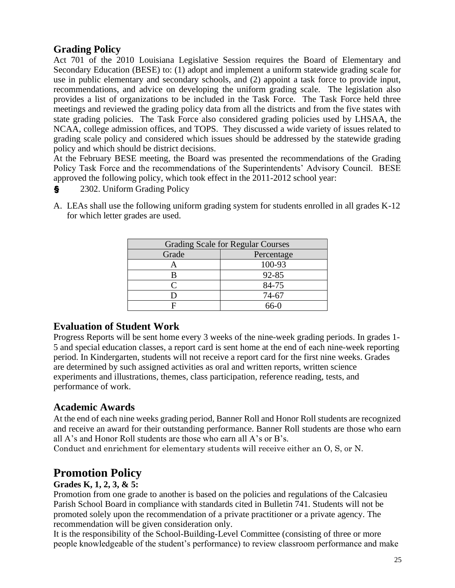#### **Grading Policy**

Act 701 of the 2010 Louisiana Legislative Session requires the Board of Elementary and Secondary Education (BESE) to: (1) adopt and implement a uniform statewide grading scale for use in public elementary and secondary schools, and (2) appoint a task force to provide input, recommendations, and advice on developing the uniform grading scale. The legislation also provides a list of organizations to be included in the Task Force. The Task Force held three meetings and reviewed the grading policy data from all the districts and from the five states with state grading policies. The Task Force also considered grading policies used by LHSAA, the NCAA, college admission offices, and TOPS. They discussed a wide variety of issues related to grading scale policy and considered which issues should be addressed by the statewide grading policy and which should be district decisions.

At the February BESE meeting, the Board was presented the recommendations of the Grading Policy Task Force and the recommendations of the Superintendents' Advisory Council. BESE approved the following policy, which took effect in the 2011-2012 school year:

- **§** 2302. Uniform Grading Policy
- A. LEAs shall use the following uniform grading system for students enrolled in all grades K-12 for which letter grades are used.

| <b>Grading Scale for Regular Courses</b> |            |  |
|------------------------------------------|------------|--|
| Grade                                    | Percentage |  |
|                                          | 100-93     |  |
|                                          | 92-85      |  |
|                                          | 84-75      |  |
|                                          | 74-67      |  |
|                                          | 66-0       |  |

#### **Evaluation of Student Work**

Progress Reports will be sent home every 3 weeks of the nine-week grading periods. In grades 1- 5 and special education classes, a report card is sent home at the end of each nine-week reporting period. In Kindergarten, students will not receive a report card for the first nine weeks. Grades are determined by such assigned activities as oral and written reports, written science experiments and illustrations, themes, class participation, reference reading, tests, and performance of work.

#### **Academic Awards**

At the end of each nine weeks grading period, Banner Roll and Honor Roll students are recognized and receive an award for their outstanding performance. Banner Roll students are those who earn all A's and Honor Roll students are those who earn all A's or B's.

Conduct and enrichment for elementary students will receive either an O, S, or N.

## **Promotion Policy**

#### **Grades K, 1, 2, 3, & 5:**

Promotion from one grade to another is based on the policies and regulations of the Calcasieu Parish School Board in compliance with standards cited in Bulletin 741. Students will not be promoted solely upon the recommendation of a private practitioner or a private agency. The recommendation will be given consideration only.

It is the responsibility of the School-Building-Level Committee (consisting of three or more people knowledgeable of the student's performance) to review classroom performance and make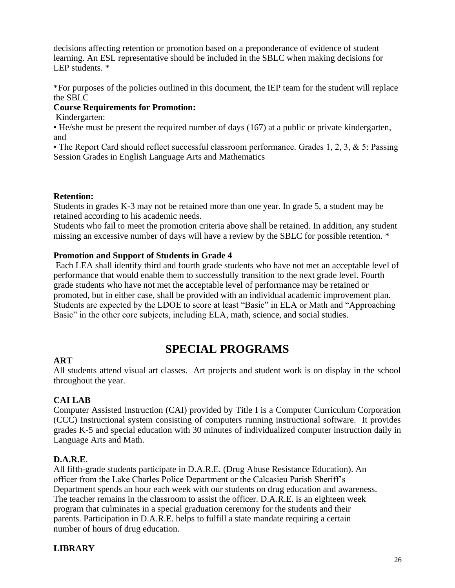decisions affecting retention or promotion based on a preponderance of evidence of student learning. An ESL representative should be included in the SBLC when making decisions for LEP students. \*

\*For purposes of the policies outlined in this document, the IEP team for the student will replace the SBLC

#### **Course Requirements for Promotion:**

Kindergarten:

• He/she must be present the required number of days (167) at a public or private kindergarten, and

• The Report Card should reflect successful classroom performance. Grades 1, 2, 3, & 5: Passing Session Grades in English Language Arts and Mathematics

#### **Retention:**

Students in grades K-3 may not be retained more than one year. In grade 5, a student may be retained according to his academic needs.

Students who fail to meet the promotion criteria above shall be retained. In addition, any student missing an excessive number of days will have a review by the SBLC for possible retention. \*

#### **Promotion and Support of Students in Grade 4**

Each LEA shall identify third and fourth grade students who have not met an acceptable level of performance that would enable them to successfully transition to the next grade level. Fourth grade students who have not met the acceptable level of performance may be retained or promoted, but in either case, shall be provided with an individual academic improvement plan. Students are expected by the LDOE to score at least "Basic" in ELA or Math and "Approaching Basic" in the other core subjects, including ELA, math, science, and social studies.

## **SPECIAL PROGRAMS**

#### **ART**

All students attend visual art classes. Art projects and student work is on display in the school throughout the year.

#### **CAI LAB**

Computer Assisted Instruction (CAI) provided by Title I is a Computer Curriculum Corporation (CCC) Instructional system consisting of computers running instructional software. It provides grades K-5 and special education with 30 minutes of individualized computer instruction daily in Language Arts and Math.

#### **D.A.R.E**.

All fifth-grade students participate in D.A.R.E. (Drug Abuse Resistance Education). An officer from the Lake Charles Police Department or the Calcasieu Parish Sheriff's Department spends an hour each week with our students on drug education and awareness. The teacher remains in the classroom to assist the officer. D.A.R.E. is an eighteen week program that culminates in a special graduation ceremony for the students and their parents. Participation in D.A.R.E. helps to fulfill a state mandate requiring a certain number of hours of drug education.

#### **LIBRARY**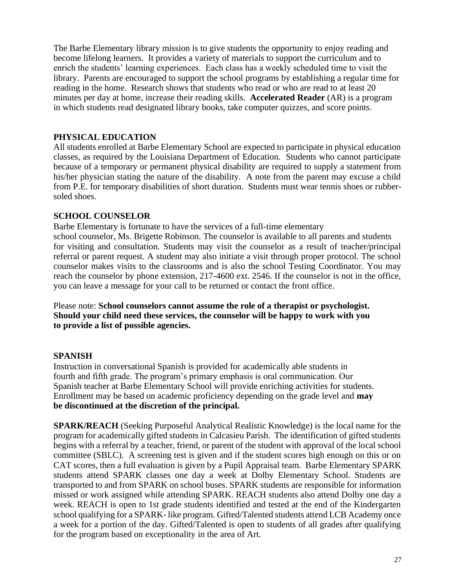The Barbe Elementary library mission is to give students the opportunity to enjoy reading and become lifelong learners. It provides a variety of materials to support the curriculum and to enrich the students' learning experiences. Each class has a weekly scheduled time to visit the library. Parents are encouraged to support the school programs by establishing a regular time for reading in the home. Research shows that students who read or who are read to at least 20 minutes per day at home, increase their reading skills. **Accelerated Reader** (AR) is a program in which students read designated library books, take computer quizzes, and score points.

#### **PHYSICAL EDUCATION**

All students enrolled at Barbe Elementary School are expected to participate in physical education classes, as required by the Louisiana Department of Education. Students who cannot participate because of a temporary or permanent physical disability are required to supply a statement from his/her physician stating the nature of the disability. A note from the parent may excuse a child from P.E. for temporary disabilities of short duration. Students must wear tennis shoes or rubbersoled shoes.

#### **SCHOOL COUNSELOR**

Barbe Elementary is fortunate to have the services of a full-time elementary

school counselor, Ms. Brigette Robinson. The counselor is available to all parents and students for visiting and consultation. Students may visit the counselor as a result of teacher/principal referral or parent request. A student may also initiate a visit through proper protocol. The school counselor makes visits to the classrooms and is also the school Testing Coordinator. You may reach the counselor by phone extension, 217-4600 ext. 2546. If the counselor is not in the office, you can leave a message for your call to be returned or contact the front office.

Please note: **School counselors cannot assume the role of a therapist or psychologist. Should your child need these services, the counselor will be happy to work with you to provide a list of possible agencies.**

#### **SPANISH**

Instruction in conversational Spanish is provided for academically able students in fourth and fifth grade. The program's primary emphasis is oral communication. Our Spanish teacher at Barbe Elementary School will provide enriching activities for students. Enrollment may be based on academic proficiency depending on the grade level and **may be discontinued at the discretion of the principal.**

**SPARK/REACH** (Seeking Purposeful Analytical Realistic Knowledge) is the local name for the program for academically gifted students in Calcasieu Parish. The identification of gifted students begins with a referral by a teacher, friend, or parent of the student with approval of the local school committee (SBLC). A screening test is given and if the student scores high enough on this or on CAT scores, then a full evaluation is given by a Pupil Appraisal team. Barbe Elementary SPARK students attend SPARK classes one day a week at Dolby Elementary School. Students are transported to and from SPARK on school buses. SPARK students are responsible for information missed or work assigned while attending SPARK. REACH students also attend Dolby one day a week. REACH is open to 1st grade students identified and tested at the end of the Kindergarten school qualifying for a SPARK- like program. Gifted/Talented students attend LCB Academy once a week for a portion of the day. Gifted/Talented is open to students of all grades after qualifying for the program based on exceptionality in the area of Art.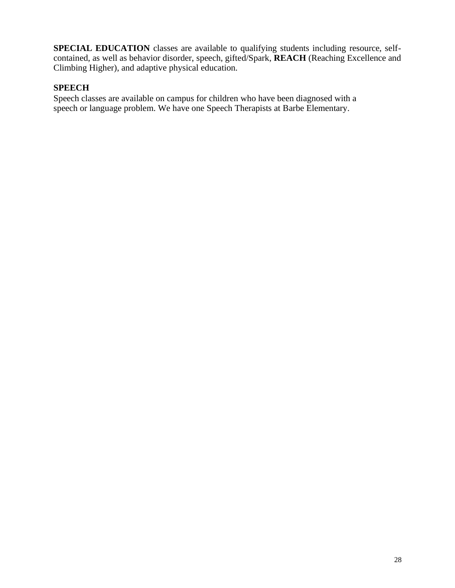**SPECIAL EDUCATION** classes are available to qualifying students including resource, selfcontained, as well as behavior disorder, speech, gifted/Spark, **REACH** (Reaching Excellence and Climbing Higher), and adaptive physical education.

#### **SPEECH**

Speech classes are available on campus for children who have been diagnosed with a speech or language problem. We have one Speech Therapists at Barbe Elementary.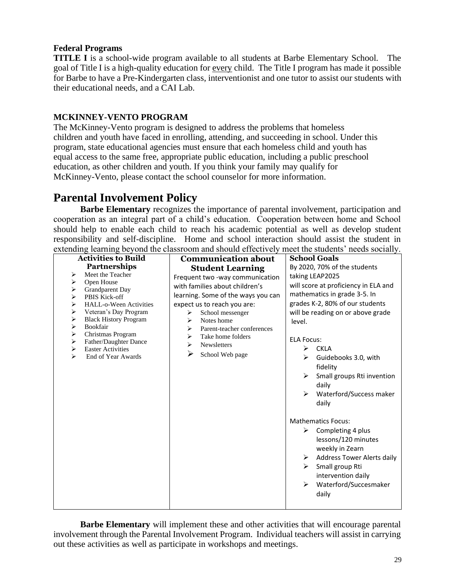#### **Federal Programs**

**TITLE I** is a school-wide program available to all students at Barbe Elementary School. The goal of Title I is a high-quality education for every child. The Title I program has made it possible for Barbe to have a Pre-Kindergarten class, interventionist and one tutor to assist our students with their educational needs, and a CAI Lab.

#### **MCKINNEY-VENTO PROGRAM**

The McKinney-Vento program is designed to address the problems that homeless children and youth have faced in enrolling, attending, and succeeding in school. Under this program, state educational agencies must ensure that each homeless child and youth has equal access to the same free, appropriate public education, including a public preschool education, as other children and youth. If you think your family may qualify for McKinney-Vento, please contact the school counselor for more information.

## **Parental Involvement Policy**

**Barbe Elementary** recognizes the importance of parental involvement, participation and cooperation as an integral part of a child's education. Cooperation between home and School should help to enable each child to reach his academic potential as well as develop student responsibility and self-discipline. Home and school interaction should assist the student in extending learning beyond the classroom and should effectively meet the students' needs socially.

| extending realing cop one are enabled in the should encourage                                                                                                                                                                                                                                                                                                                                          |                                                                                                                                                                                                                                                                                                                                                             |                                                                                                                                                                                                                                                                                                                                                                                                                                                                                                                                                                                                                                         |
|--------------------------------------------------------------------------------------------------------------------------------------------------------------------------------------------------------------------------------------------------------------------------------------------------------------------------------------------------------------------------------------------------------|-------------------------------------------------------------------------------------------------------------------------------------------------------------------------------------------------------------------------------------------------------------------------------------------------------------------------------------------------------------|-----------------------------------------------------------------------------------------------------------------------------------------------------------------------------------------------------------------------------------------------------------------------------------------------------------------------------------------------------------------------------------------------------------------------------------------------------------------------------------------------------------------------------------------------------------------------------------------------------------------------------------------|
| <b>Activities to Build</b><br><b>Partnerships</b><br>Meet the Teacher<br>➤<br>Open House<br>➤<br>Grandparent Day<br>➤<br>PBIS Kick-off<br>⋗<br>$\blacktriangleright$<br>HALL-o-Ween Activities<br>⋗<br>Veteran's Day Program<br>⋗<br><b>Black History Program</b><br>⋗<br>Bookfair<br>➤<br>Christmas Program<br>Father/Daughter Dance<br>➤<br><b>Easter Activities</b><br>➤<br>End of Year Awards<br>➤ | <b>Communication about</b><br><b>Student Learning</b><br>Frequent two -way communication<br>with families about children's<br>learning. Some of the ways you can<br>expect us to reach you are:<br>School messenger<br>➤<br>Notes home<br>⋗<br>Parent-teacher conferences<br>⋗<br>Take home folders<br>➤<br><b>Newsletters</b><br>⋗<br>➤<br>School Web page | <b>School Goals</b><br>By 2020, 70% of the students<br>taking LEAP2025<br>will score at proficiency in ELA and<br>mathematics in grade 3-5. In<br>grades K-2, 80% of our students<br>will be reading on or above grade<br>level.<br><b>ELA Focus:</b><br><b>CKLA</b><br>≻<br>➤<br>Guidebooks 3.0, with<br>fidelity<br>Small groups Rti invention<br>⋗<br>daily<br>Waterford/Success maker<br>➤<br>daily<br><b>Mathematics Focus:</b><br>Completing 4 plus<br>➤<br>lessons/120 minutes<br>weekly in Zearn<br><b>Address Tower Alerts daily</b><br>➤<br>Small group Rti<br>➤<br>intervention daily<br>Waterford/Succesmaker<br>➤<br>daily |
|                                                                                                                                                                                                                                                                                                                                                                                                        |                                                                                                                                                                                                                                                                                                                                                             |                                                                                                                                                                                                                                                                                                                                                                                                                                                                                                                                                                                                                                         |

**Barbe Elementary** will implement these and other activities that will encourage parental involvement through the Parental Involvement Program. Individual teachers will assist in carrying out these activities as well as participate in workshops and meetings.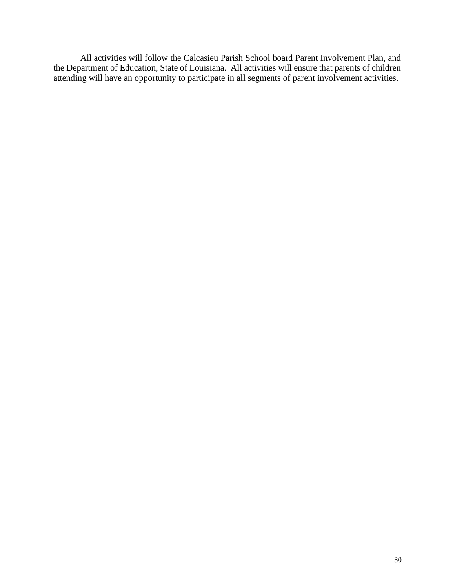All activities will follow the Calcasieu Parish School board Parent Involvement Plan, and the Department of Education, State of Louisiana. All activities will ensure that parents of children attending will have an opportunity to participate in all segments of parent involvement activities.